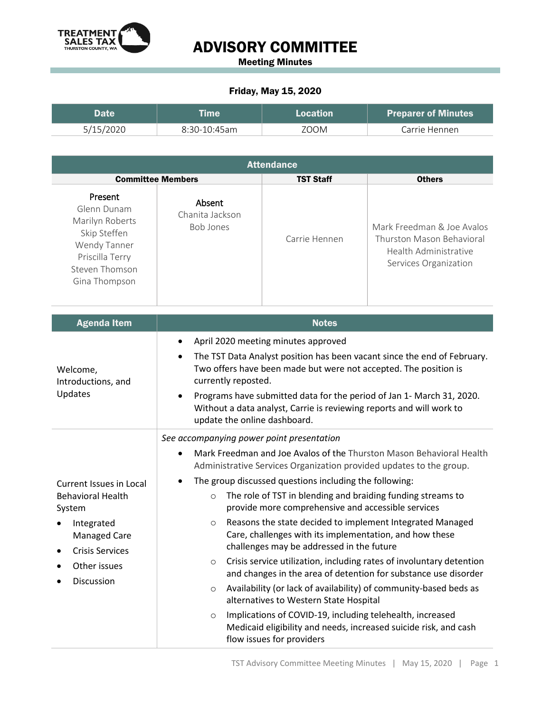

## ADVISORY COMMITTEE

Meeting Minutes

## Friday, May 15, 2020

| Date      | <b>Eime</b>    | Location | <b>Preparer of Minutes</b> |
|-----------|----------------|----------|----------------------------|
| 5/15/2020 | $8:30-10:45am$ | ZOOM     | Carrie Hennen              |

| <b>Attendance</b>                                                                                                                                          |                                                                                                                                                                                                                                                                                                                                                                                                                                                                                                                                                                                                                                                                                                                                                                                                                                                                                                                                                                                                                  |                  |                                                                                                           |  |  |
|------------------------------------------------------------------------------------------------------------------------------------------------------------|------------------------------------------------------------------------------------------------------------------------------------------------------------------------------------------------------------------------------------------------------------------------------------------------------------------------------------------------------------------------------------------------------------------------------------------------------------------------------------------------------------------------------------------------------------------------------------------------------------------------------------------------------------------------------------------------------------------------------------------------------------------------------------------------------------------------------------------------------------------------------------------------------------------------------------------------------------------------------------------------------------------|------------------|-----------------------------------------------------------------------------------------------------------|--|--|
| <b>Committee Members</b>                                                                                                                                   |                                                                                                                                                                                                                                                                                                                                                                                                                                                                                                                                                                                                                                                                                                                                                                                                                                                                                                                                                                                                                  | <b>TST Staff</b> | <b>Others</b>                                                                                             |  |  |
| Present<br>Glenn Dunam<br>Marilyn Roberts<br>Skip Steffen<br>Wendy Tanner<br>Priscilla Terry<br>Steven Thomson<br>Gina Thompson                            | Absent<br>Chanita Jackson<br><b>Bob Jones</b>                                                                                                                                                                                                                                                                                                                                                                                                                                                                                                                                                                                                                                                                                                                                                                                                                                                                                                                                                                    | Carrie Hennen    | Mark Freedman & Joe Avalos<br>Thurston Mason Behavioral<br>Health Administrative<br>Services Organization |  |  |
| <b>Agenda Item</b>                                                                                                                                         |                                                                                                                                                                                                                                                                                                                                                                                                                                                                                                                                                                                                                                                                                                                                                                                                                                                                                                                                                                                                                  | <b>Notes</b>     |                                                                                                           |  |  |
| Welcome,<br>Introductions, and<br>Updates                                                                                                                  | April 2020 meeting minutes approved<br>The TST Data Analyst position has been vacant since the end of February.<br>٠<br>Two offers have been made but were not accepted. The position is<br>currently reposted.<br>Programs have submitted data for the period of Jan 1- March 31, 2020.<br>Without a data analyst, Carrie is reviewing reports and will work to<br>update the online dashboard.                                                                                                                                                                                                                                                                                                                                                                                                                                                                                                                                                                                                                 |                  |                                                                                                           |  |  |
| Current Issues in Local<br><b>Behavioral Health</b><br>System<br>Integrated<br><b>Managed Care</b><br><b>Crisis Services</b><br>Other issues<br>Discussion | See accompanying power point presentation<br>Mark Freedman and Joe Avalos of the Thurston Mason Behavioral Health<br>Administrative Services Organization provided updates to the group.<br>The group discussed questions including the following:<br>The role of TST in blending and braiding funding streams to<br>$\circ$<br>provide more comprehensive and accessible services<br>Reasons the state decided to implement Integrated Managed<br>$\circ$<br>Care, challenges with its implementation, and how these<br>challenges may be addressed in the future<br>Crisis service utilization, including rates of involuntary detention<br>and changes in the area of detention for substance use disorder<br>Availability (or lack of availability) of community-based beds as<br>$\circ$<br>alternatives to Western State Hospital<br>Implications of COVID-19, including telehealth, increased<br>$\circ$<br>Medicaid eligibility and needs, increased suicide risk, and cash<br>flow issues for providers |                  |                                                                                                           |  |  |